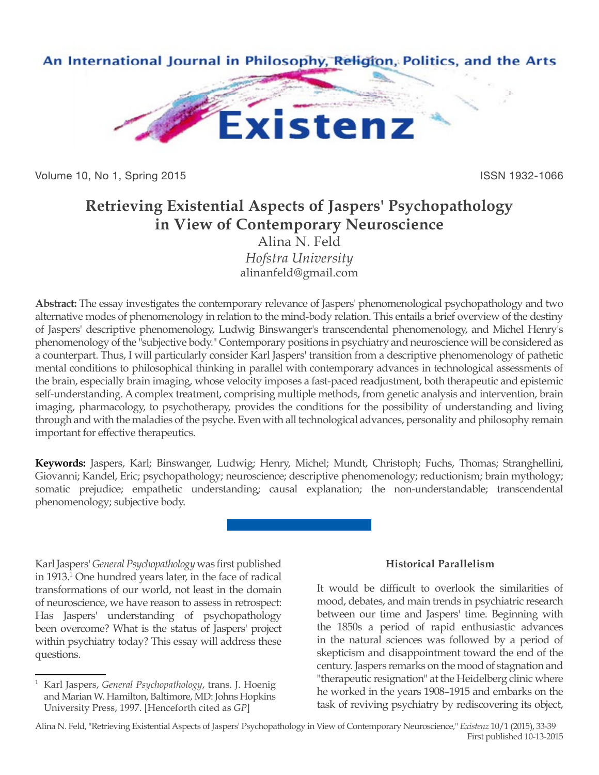

Volume 10, No 1, Spring 2015 **ISSN 1932-1066** ISSN 1932-1066

# **Retrieving Existential Aspects of Jaspers' Psychopathology in View of Contemporary Neuroscience**

Alina N. Feld *Hofstra University* alinanfeld@gmail.com

**Abstract:** The essay investigates the contemporary relevance of Jaspers' phenomenological psychopathology and two alternative modes of phenomenology in relation to the mind-body relation. This entails a brief overview of the destiny of Jaspers' descriptive phenomenology, Ludwig Binswanger's transcendental phenomenology, and Michel Henry's phenomenology of the "subjective body." Contemporary positions in psychiatry and neuroscience will be considered as a counterpart. Thus, I will particularly consider Karl Jaspers' transition from a descriptive phenomenology of pathetic mental conditions to philosophical thinking in parallel with contemporary advances in technological assessments of the brain, especially brain imaging, whose velocity imposes a fast-paced readjustment, both therapeutic and epistemic self-understanding. A complex treatment, comprising multiple methods, from genetic analysis and intervention, brain imaging, pharmacology, to psychotherapy, provides the conditions for the possibility of understanding and living through and with the maladies of the psyche. Even with all technological advances, personality and philosophy remain important for effective therapeutics.

**Keywords:** Jaspers, Karl; Binswanger, Ludwig; Henry, Michel; Mundt, Christoph; Fuchs, Thomas; Stranghellini, Giovanni; Kandel, Eric; psychopathology; neuroscience; descriptive phenomenology; reductionism; brain mythology; somatic prejudice; empathetic understanding; causal explanation; the non-understandable; transcendental phenomenology; subjective body.

Karl Jaspers' *General Psychopathology* was first published in 1913.1 One hundred years later, in the face of radical transformations of our world, not least in the domain of neuroscience, we have reason to assess in retrospect: Has Jaspers' understanding of psychopathology been overcome? What is the status of Jaspers' project within psychiatry today? This essay will address these questions.

### **Historical Parallelism**

It would be difficult to overlook the similarities of mood, debates, and main trends in psychiatric research between our time and Jaspers' time. Beginning with the 1850s a period of rapid enthusiastic advances in the natural sciences was followed by a period of skepticism and disappointment toward the end of the century. Jaspers remarks on the mood of stagnation and "therapeutic resignation" at the Heidelberg clinic where he worked in the years 1908–1915 and embarks on the task of reviving psychiatry by rediscovering its object,

Alina N. Feld, "Retrieving Existential Aspects of Jaspers' Psychopathology in View of Contemporary Neuroscience," *Existenz* 10/1 (2015), 33-39 First published 10-13-2015

<sup>1</sup> Karl Jaspers, *General Psychopathology*, trans. J. Hoenig and Marian W. Hamilton, Baltimore, MD: Johns Hopkins University Press, 1997. [Henceforth cited as *GP*]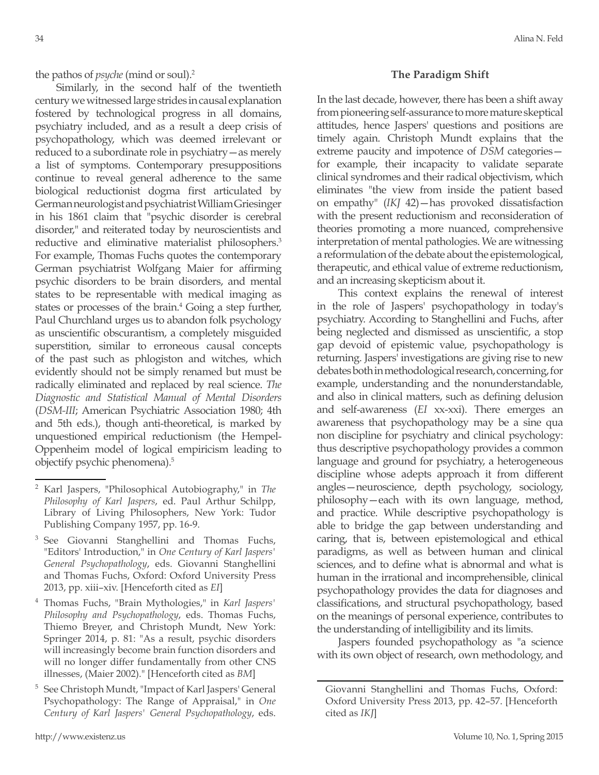Similarly, in the second half of the twentieth century we witnessed large strides in causal explanation fostered by technological progress in all domains, psychiatry included, and as a result a deep crisis of psychopathology, which was deemed irrelevant or reduced to a subordinate role in psychiatry—as merely a list of symptoms. Contemporary presuppositions continue to reveal general adherence to the same biological reductionist dogma first articulated by German neurologist and psychiatrist William Griesinger in his 1861 claim that "psychic disorder is cerebral disorder," and reiterated today by neuroscientists and reductive and eliminative materialist philosophers.<sup>3</sup> For example, Thomas Fuchs quotes the contemporary German psychiatrist Wolfgang Maier for affirming psychic disorders to be brain disorders, and mental states to be representable with medical imaging as states or processes of the brain.<sup>4</sup> Going a step further, Paul Churchland urges us to abandon folk psychology as unscientific obscurantism, a completely misguided superstition, similar to erroneous causal concepts of the past such as phlogiston and witches, which evidently should not be simply renamed but must be radically eliminated and replaced by real science. *The Diagnostic and Statistical Manual of Mental Disorders*  (*DSM-III*; American Psychiatric Association 1980; 4th and 5th eds.), though anti-theoretical, is marked by unquestioned empirical reductionism (the Hempel-Oppenheim model of logical empiricism leading to objectify psychic phenomena).5

### **The Paradigm Shift**

In the last decade, however, there has been a shift away from pioneering self-assurance to more mature skeptical attitudes, hence Jaspers' questions and positions are timely again. Christoph Mundt explains that the extreme paucity and impotence of *DSM* categories for example, their incapacity to validate separate clinical syndromes and their radical objectivism, which eliminates "the view from inside the patient based on empathy" (*IKJ* 42)—has provoked dissatisfaction with the present reductionism and reconsideration of theories promoting a more nuanced, comprehensive interpretation of mental pathologies. We are witnessing a reformulation of the debate about the epistemological, therapeutic, and ethical value of extreme reductionism, and an increasing skepticism about it.

This context explains the renewal of interest in the role of Jaspers' psychopathology in today's psychiatry. According to Stanghellini and Fuchs, after being neglected and dismissed as unscientific, a stop gap devoid of epistemic value, psychopathology is returning. Jaspers' investigations are giving rise to new debates both in methodological research, concerning, for example, understanding and the nonunderstandable, and also in clinical matters, such as defining delusion and self-awareness (*EI* xx-xxi). There emerges an awareness that psychopathology may be a sine qua non discipline for psychiatry and clinical psychology: thus descriptive psychopathology provides a common language and ground for psychiatry, a heterogeneous discipline whose adepts approach it from different angles—neuroscience, depth psychology, sociology, philosophy—each with its own language, method, and practice. While descriptive psychopathology is able to bridge the gap between understanding and caring, that is, between epistemological and ethical paradigms, as well as between human and clinical sciences, and to define what is abnormal and what is human in the irrational and incomprehensible, clinical psychopathology provides the data for diagnoses and classifications, and structural psychopathology, based on the meanings of personal experience, contributes to the understanding of intelligibility and its limits.

Jaspers founded psychopathology as "a science with its own object of research, own methodology, and

<sup>2</sup> Karl Jaspers, "Philosophical Autobiography," in *The Philosophy of Karl Jaspers*, ed. Paul Arthur Schilpp, Library of Living Philosophers, New York: Tudor Publishing Company 1957, pp. 16-9.

See Giovanni Stanghellini and Thomas Fuchs, "Editors' Introduction," in *One Century of Karl Jaspers' General Psychopathology*, eds. Giovanni Stanghellini and Thomas Fuchs, Oxford: Oxford University Press 2013, pp. xiii–xiv. [Henceforth cited as *EI*]

<sup>4</sup> Thomas Fuchs, "Brain Mythologies," in *Karl Jaspers' Philosophy and Psychopathology*, eds. Thomas Fuchs, Thiemo Breyer, and Christoph Mundt, New York: Springer 2014, p. 81: "As a result, psychic disorders will increasingly become brain function disorders and will no longer differ fundamentally from other CNS illnesses, (Maier 2002)." [Henceforth cited as *BM*]

<sup>5</sup> See Christoph Mundt, "Impact of Karl Jaspers' General Psychopathology: The Range of Appraisal," in *One Century of Karl Jaspers' General Psychopathology*, eds.

Giovanni Stanghellini and Thomas Fuchs, Oxford: Oxford University Press 2013, pp. 42–57. [Henceforth cited as *IKJ*]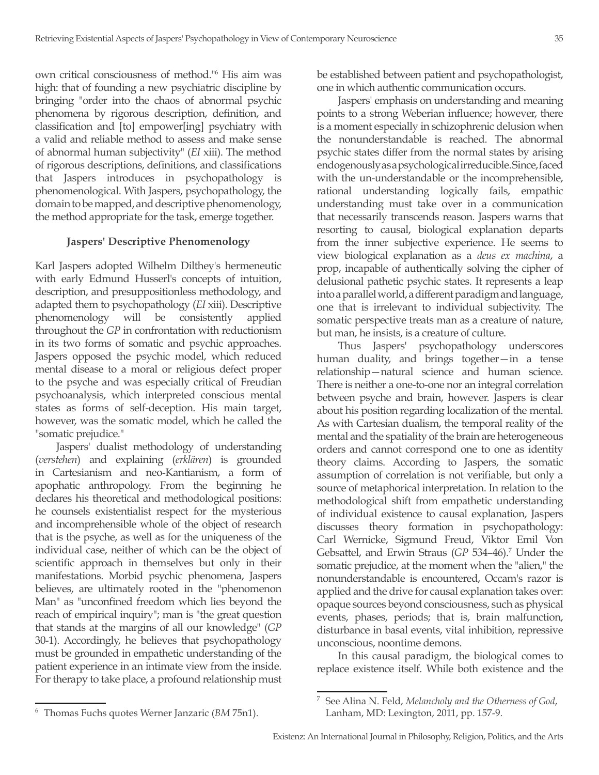own critical consciousness of method."6 His aim was high: that of founding a new psychiatric discipline by bringing "order into the chaos of abnormal psychic phenomena by rigorous description, definition, and classification and [to] empower[ing] psychiatry with a valid and reliable method to assess and make sense of abnormal human subjectivity" (*EI* xiii). The method of rigorous descriptions, definitions, and classifications that Jaspers introduces in psychopathology is phenomenological. With Jaspers, psychopathology, the domain to be mapped, and descriptive phenomenology, the method appropriate for the task, emerge together.

### **Jaspers' Descriptive Phenomenology**

Karl Jaspers adopted Wilhelm Dilthey's hermeneutic with early Edmund Husserl's concepts of intuition, description, and presuppositionless methodology, and adapted them to psychopathology (*EI* xiii). Descriptive phenomenology will be consistently applied throughout the *GP* in confrontation with reductionism in its two forms of somatic and psychic approaches. Jaspers opposed the psychic model, which reduced mental disease to a moral or religious defect proper to the psyche and was especially critical of Freudian psychoanalysis, which interpreted conscious mental states as forms of self-deception. His main target, however, was the somatic model, which he called the "somatic prejudice."

Jaspers' dualist methodology of understanding (*verstehen*) and explaining (*erklären*) is grounded in Cartesianism and neo-Kantianism, a form of apophatic anthropology. From the beginning he declares his theoretical and methodological positions: he counsels existentialist respect for the mysterious and incomprehensible whole of the object of research that is the psyche, as well as for the uniqueness of the individual case, neither of which can be the object of scientific approach in themselves but only in their manifestations. Morbid psychic phenomena, Jaspers believes, are ultimately rooted in the "phenomenon Man" as "unconfined freedom which lies beyond the reach of empirical inquiry"; man is "the great question that stands at the margins of all our knowledge" (*GP*  30-1). Accordingly, he believes that psychopathology must be grounded in empathetic understanding of the patient experience in an intimate view from the inside. For therapy to take place, a profound relationship must

be established between patient and psychopathologist, one in which authentic communication occurs.

Jaspers' emphasis on understanding and meaning points to a strong Weberian influence; however, there is a moment especially in schizophrenic delusion when the nonunderstandable is reached. The abnormal psychic states differ from the normal states by arising endogenously as a psychological irreducible. Since, faced with the un-understandable or the incomprehensible, rational understanding logically fails, empathic understanding must take over in a communication that necessarily transcends reason. Jaspers warns that resorting to causal, biological explanation departs from the inner subjective experience. He seems to view biological explanation as a *deus ex machina*, a prop, incapable of authentically solving the cipher of delusional pathetic psychic states. It represents a leap into a parallel world, a different paradigm and language, one that is irrelevant to individual subjectivity. The somatic perspective treats man as a creature of nature, but man, he insists, is a creature of culture.

Thus Jaspers' psychopathology underscores human duality, and brings together—in a tense relationship—natural science and human science. There is neither a one-to-one nor an integral correlation between psyche and brain, however. Jaspers is clear about his position regarding localization of the mental. As with Cartesian dualism, the temporal reality of the mental and the spatiality of the brain are heterogeneous orders and cannot correspond one to one as identity theory claims. According to Jaspers, the somatic assumption of correlation is not verifiable, but only a source of metaphorical interpretation. In relation to the methodological shift from empathetic understanding of individual existence to causal explanation, Jaspers discusses theory formation in psychopathology: Carl Wernicke, Sigmund Freud, Viktor Emil Von Gebsattel, and Erwin Straus (GP 534-46).<sup>7</sup> Under the somatic prejudice, at the moment when the "alien," the nonunderstandable is encountered, Occam's razor is applied and the drive for causal explanation takes over: opaque sources beyond consciousness, such as physical events, phases, periods; that is, brain malfunction, disturbance in basal events, vital inhibition, repressive unconscious, noontime demons.

In this causal paradigm, the biological comes to replace existence itself. While both existence and the

<sup>6</sup> Thomas Fuchs quotes Werner Janzaric (*BM* 75n1).

<sup>7</sup> See Alina N. Feld, *Melancholy and the Otherness of God*, Lanham, MD: Lexington, 2011, pp. 157-9.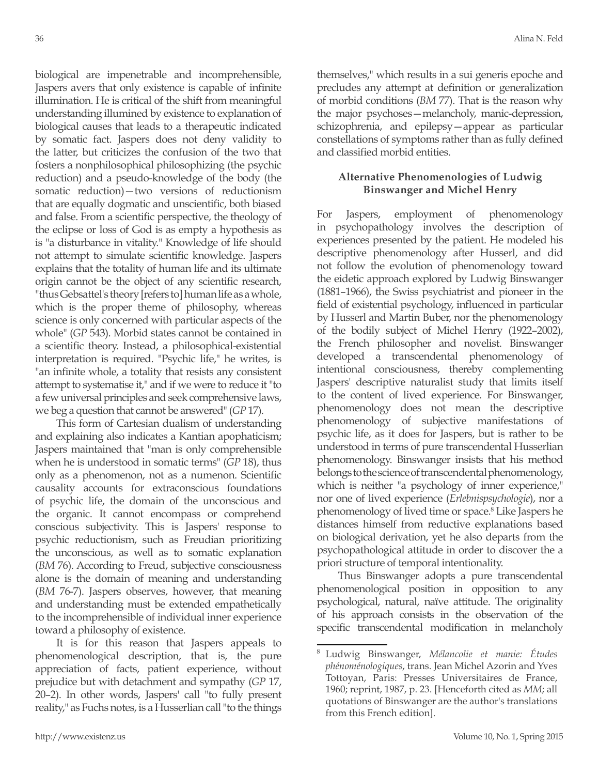biological are impenetrable and incomprehensible, Jaspers avers that only existence is capable of infinite illumination. He is critical of the shift from meaningful understanding illumined by existence to explanation of biological causes that leads to a therapeutic indicated by somatic fact. Jaspers does not deny validity to the latter, but criticizes the confusion of the two that fosters a nonphilosophical philosophizing (the psychic reduction) and a pseudo-knowledge of the body (the somatic reduction)—two versions of reductionism that are equally dogmatic and unscientific, both biased and false. From a scientific perspective, the theology of the eclipse or loss of God is as empty a hypothesis as is "a disturbance in vitality." Knowledge of life should not attempt to simulate scientific knowledge. Jaspers explains that the totality of human life and its ultimate origin cannot be the object of any scientific research, "thus Gebsattel's theory [refers to] human life as a whole, which is the proper theme of philosophy, whereas science is only concerned with particular aspects of the whole" (*GP* 543). Morbid states cannot be contained in a scientific theory. Instead, a philosophical-existential interpretation is required. "Psychic life," he writes, is "an infinite whole, a totality that resists any consistent attempt to systematise it," and if we were to reduce it "to a few universal principles and seek comprehensive laws, we beg a question that cannot be answered" (*GP* 17).

This form of Cartesian dualism of understanding and explaining also indicates a Kantian apophaticism; Jaspers maintained that "man is only comprehensible when he is understood in somatic terms" (*GP* 18), thus only as a phenomenon, not as a numenon. Scientific causality accounts for extraconscious foundations of psychic life, the domain of the unconscious and the organic. It cannot encompass or comprehend conscious subjectivity. This is Jaspers' response to psychic reductionism, such as Freudian prioritizing the unconscious, as well as to somatic explanation (*BM* 76). According to Freud, subjective consciousness alone is the domain of meaning and understanding (*BM* 76-7). Jaspers observes, however, that meaning and understanding must be extended empathetically to the incomprehensible of individual inner experience toward a philosophy of existence.

It is for this reason that Jaspers appeals to phenomenological description, that is, the pure appreciation of facts, patient experience, without prejudice but with detachment and sympathy (*GP* 17, 20–2). In other words, Jaspers' call "to fully present reality," as Fuchs notes, is a Husserlian call "to the things themselves," which results in a sui generis epoche and precludes any attempt at definition or generalization of morbid conditions (*BM* 77). That is the reason why the major psychoses—melancholy, manic-depression, schizophrenia, and epilepsy—appear as particular constellations of symptoms rather than as fully defined and classified morbid entities.

## **Alternative Phenomenologies of Ludwig Binswanger and Michel Henry**

For Jaspers, employment of phenomenology in psychopathology involves the description of experiences presented by the patient. He modeled his descriptive phenomenology after Husserl, and did not follow the evolution of phenomenology toward the eidetic approach explored by Ludwig Binswanger (1881–1966), the Swiss psychiatrist and pioneer in the field of existential psychology, influenced in particular by Husserl and Martin Buber, nor the phenomenology of the bodily subject of Michel Henry (1922–2002), the French philosopher and novelist. Binswanger developed a transcendental phenomenology of intentional consciousness, thereby complementing Jaspers' descriptive naturalist study that limits itself to the content of lived experience. For Binswanger, phenomenology does not mean the descriptive phenomenology of subjective manifestations of psychic life, as it does for Jaspers, but is rather to be understood in terms of pure transcendental Husserlian phenomenology. Binswanger insists that his method belongs to the science of transcendental phenomenology, which is neither "a psychology of inner experience," nor one of lived experience (*Erlebnispsychologie*), nor a phenomenology of lived time or space.<sup>8</sup> Like Jaspers he distances himself from reductive explanations based on biological derivation, yet he also departs from the psychopathological attitude in order to discover the a priori structure of temporal intentionality.

Thus Binswanger adopts a pure transcendental phenomenological position in opposition to any psychological, natural, naïve attitude. The originality of his approach consists in the observation of the specific transcendental modification in melancholy

<sup>8</sup> Ludwig Binswanger, *Mélancolie et manie: Études phénoménologiques*, trans. Jean Michel Azorin and Yves Tottoyan, Paris: Presses Universitaires de France, 1960; reprint, 1987, p. 23. [Henceforth cited as *MM*; all quotations of Binswanger are the author's translations from this French edition].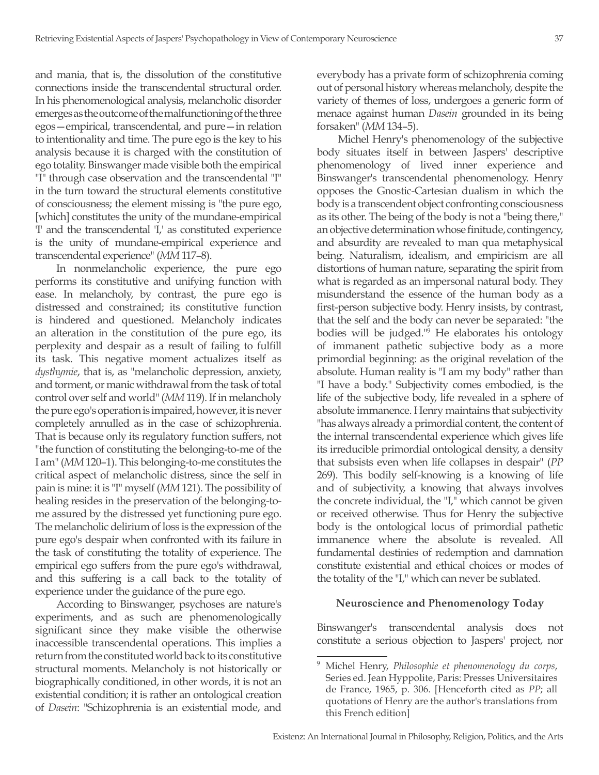and mania, that is, the dissolution of the constitutive connections inside the transcendental structural order. In his phenomenological analysis, melancholic disorder emerges as the outcome of the malfunctioning of the three egos—empirical, transcendental, and pure—in relation to intentionality and time. The pure ego is the key to his analysis because it is charged with the constitution of ego totality. Binswanger made visible both the empirical "I" through case observation and the transcendental "I" in the turn toward the structural elements constitutive of consciousness; the element missing is "the pure ego, [which] constitutes the unity of the mundane-empirical 'I' and the transcendental 'I,' as constituted experience is the unity of mundane-empirical experience and transcendental experience" (*MM* 117–8).

In nonmelancholic experience, the pure ego performs its constitutive and unifying function with ease. In melancholy, by contrast, the pure ego is distressed and constrained; its constitutive function is hindered and questioned. Melancholy indicates an alteration in the constitution of the pure ego, its perplexity and despair as a result of failing to fulfill its task. This negative moment actualizes itself as *dysthymie*, that is, as "melancholic depression, anxiety, and torment, or manic withdrawal from the task of total control over self and world" (*MM* 119). If in melancholy the pure ego's operation is impaired, however, it is never completely annulled as in the case of schizophrenia. That is because only its regulatory function suffers, not "the function of constituting the belonging-to-me of the I am" (*MM* 120–1). This belonging-to-me constitutes the critical aspect of melancholic distress, since the self in pain is mine: it is "I" myself (*MM* 121). The possibility of healing resides in the preservation of the belonging-tome assured by the distressed yet functioning pure ego. The melancholic delirium of loss is the expression of the pure ego's despair when confronted with its failure in the task of constituting the totality of experience. The empirical ego suffers from the pure ego's withdrawal, and this suffering is a call back to the totality of experience under the guidance of the pure ego.

According to Binswanger, psychoses are nature's experiments, and as such are phenomenologically significant since they make visible the otherwise inaccessible transcendental operations. This implies a return from the constituted world back to its constitutive structural moments. Melancholy is not historically or biographically conditioned, in other words, it is not an existential condition; it is rather an ontological creation of *Dasein*: "Schizophrenia is an existential mode, and everybody has a private form of schizophrenia coming out of personal history whereas melancholy, despite the variety of themes of loss, undergoes a generic form of menace against human *Dasein* grounded in its being forsaken" (*MM* 134–5).

Michel Henry's phenomenology of the subjective body situates itself in between Jaspers' descriptive phenomenology of lived inner experience and Binswanger's transcendental phenomenology. Henry opposes the Gnostic-Cartesian dualism in which the body is a transcendent object confronting consciousness as its other. The being of the body is not a "being there," an objective determination whose finitude, contingency, and absurdity are revealed to man qua metaphysical being. Naturalism, idealism, and empiricism are all distortions of human nature, separating the spirit from what is regarded as an impersonal natural body. They misunderstand the essence of the human body as a first-person subjective body. Henry insists, by contrast, that the self and the body can never be separated: "the bodies will be judged."9 He elaborates his ontology of immanent pathetic subjective body as a more primordial beginning: as the original revelation of the absolute. Human reality is "I am my body" rather than "I have a body." Subjectivity comes embodied, is the life of the subjective body, life revealed in a sphere of absolute immanence. Henry maintains that subjectivity "has always already a primordial content, the content of the internal transcendental experience which gives life its irreducible primordial ontological density, a density that subsists even when life collapses in despair" (*PP*  269). This bodily self-knowing is a knowing of life and of subjectivity, a knowing that always involves the concrete individual, the "I," which cannot be given or received otherwise. Thus for Henry the subjective body is the ontological locus of primordial pathetic immanence where the absolute is revealed. All fundamental destinies of redemption and damnation constitute existential and ethical choices or modes of the totality of the "I," which can never be sublated.

### **Neuroscience and Phenomenology Today**

Binswanger's transcendental analysis does not constitute a serious objection to Jaspers' project, nor

<sup>9</sup> Michel Henry, *Philosophie et phenomenology du corps*, Series ed. Jean Hyppolite, Paris: Presses Universitaires de France, 1965, p. 306. [Henceforth cited as *PP*; all quotations of Henry are the author's translations from this French edition]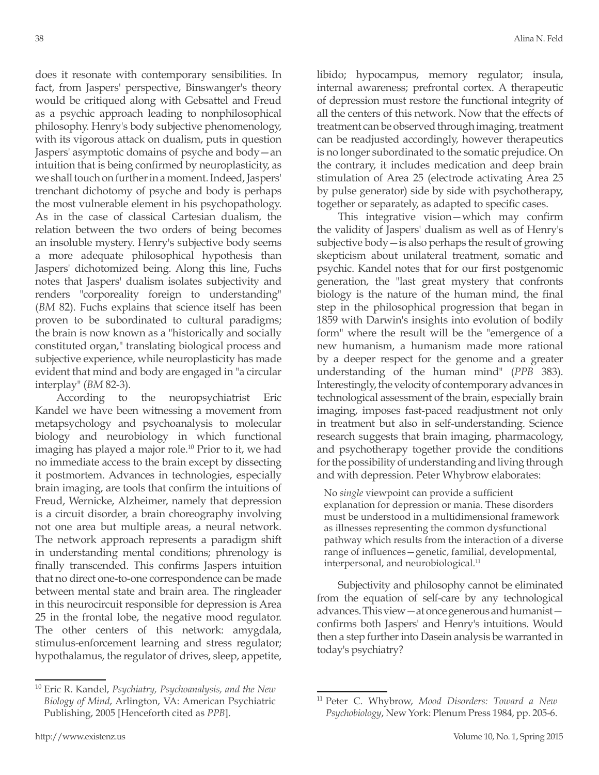does it resonate with contemporary sensibilities. In fact, from Jaspers' perspective, Binswanger's theory would be critiqued along with Gebsattel and Freud as a psychic approach leading to nonphilosophical philosophy. Henry's body subjective phenomenology, with its vigorous attack on dualism, puts in question Jaspers' asymptotic domains of psyche and body—an intuition that is being confirmed by neuroplasticity, as we shall touch on further in a moment. Indeed, Jaspers' trenchant dichotomy of psyche and body is perhaps the most vulnerable element in his psychopathology. As in the case of classical Cartesian dualism, the relation between the two orders of being becomes an insoluble mystery. Henry's subjective body seems a more adequate philosophical hypothesis than Jaspers' dichotomized being. Along this line, Fuchs notes that Jaspers' dualism isolates subjectivity and renders "corporeality foreign to understanding" (*BM* 82). Fuchs explains that science itself has been proven to be subordinated to cultural paradigms; the brain is now known as a "historically and socially constituted organ," translating biological process and subjective experience, while neuroplasticity has made evident that mind and body are engaged in "a circular interplay" (*BM* 82-3).

According to the neuropsychiatrist Eric Kandel we have been witnessing a movement from metapsychology and psychoanalysis to molecular biology and neurobiology in which functional imaging has played a major role.<sup>10</sup> Prior to it, we had no immediate access to the brain except by dissecting it postmortem. Advances in technologies, especially brain imaging, are tools that confirm the intuitions of Freud, Wernicke, Alzheimer, namely that depression is a circuit disorder, a brain choreography involving not one area but multiple areas, a neural network. The network approach represents a paradigm shift in understanding mental conditions; phrenology is finally transcended. This confirms Jaspers intuition that no direct one-to-one correspondence can be made between mental state and brain area. The ringleader in this neurocircuit responsible for depression is Area 25 in the frontal lobe, the negative mood regulator. The other centers of this network: amygdala, stimulus-enforcement learning and stress regulator; hypothalamus, the regulator of drives, sleep, appetite,

<sup>10</sup> Eric R. Kandel, *Psychiatry, Psychoanalysis, and the New Biology of Mind*, Arlington, VA: American Psychiatric Publishing, 2005 [Henceforth cited as *PPB*].

libido; hypocampus, memory regulator; insula, internal awareness; prefrontal cortex. A therapeutic of depression must restore the functional integrity of all the centers of this network. Now that the effects of treatment can be observed through imaging, treatment can be readjusted accordingly, however therapeutics is no longer subordinated to the somatic prejudice. On the contrary, it includes medication and deep brain stimulation of Area 25 (electrode activating Area 25 by pulse generator) side by side with psychotherapy, together or separately, as adapted to specific cases.

This integrative vision—which may confirm the validity of Jaspers' dualism as well as of Henry's subjective body—is also perhaps the result of growing skepticism about unilateral treatment, somatic and psychic. Kandel notes that for our first postgenomic generation, the "last great mystery that confronts biology is the nature of the human mind, the final step in the philosophical progression that began in 1859 with Darwin's insights into evolution of bodily form" where the result will be the "emergence of a new humanism, a humanism made more rational by a deeper respect for the genome and a greater understanding of the human mind" (*PPB* 383). Interestingly, the velocity of contemporary advances in technological assessment of the brain, especially brain imaging, imposes fast-paced readjustment not only in treatment but also in self-understanding. Science research suggests that brain imaging, pharmacology, and psychotherapy together provide the conditions for the possibility of understanding and living through and with depression. Peter Whybrow elaborates:

No *single* viewpoint can provide a sufficient explanation for depression or mania. These disorders must be understood in a multidimensional framework as illnesses representing the common dysfunctional pathway which results from the interaction of a diverse range of influences—genetic, familial, developmental, interpersonal, and neurobiological.<sup>11</sup>

Subjectivity and philosophy cannot be eliminated from the equation of self-care by any technological advances. This view—at once generous and humanist confirms both Jaspers' and Henry's intuitions. Would then a step further into Dasein analysis be warranted in today's psychiatry?

<sup>11</sup> Peter C. Whybrow, *Mood Disorders: Toward a New Psychobiology*, New York: Plenum Press 1984, pp. 205-6.